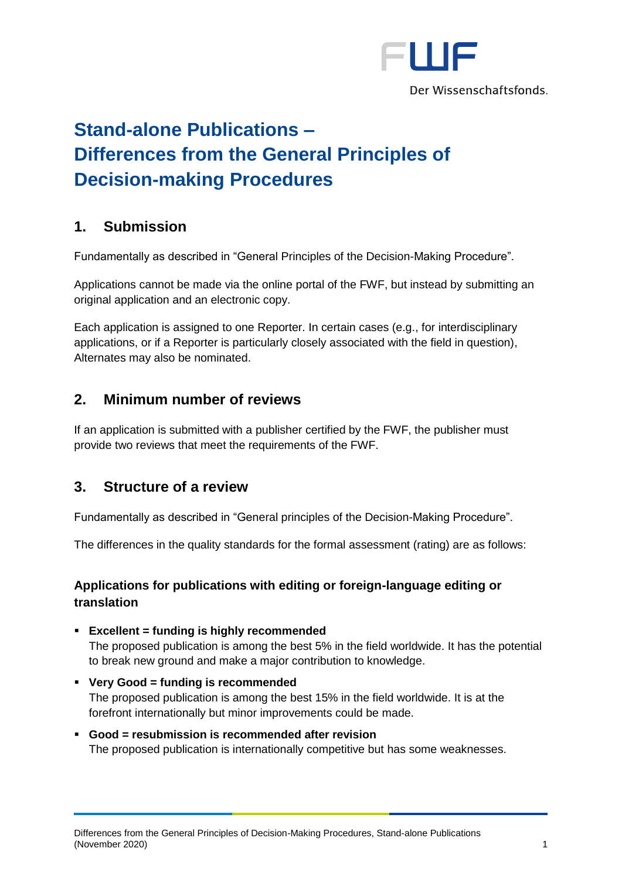

# **Stand-alone Publications – Differences from the General Principles of Decision-making Procedures**

# **1. Submission**

Fundamentally as described in "General Principles of the Decision-Making Procedure".

Applications cannot be made via the online portal of the FWF, but instead by submitting an original application and an electronic copy.

Each application is assigned to one Reporter. In certain cases (e.g., for interdisciplinary applications, or if a Reporter is particularly closely associated with the field in question), Alternates may also be nominated.

## **2. Minimum number of reviews**

If an application is submitted with a publisher certified by the FWF, the publisher must provide two reviews that meet the requirements of the FWF.

### **3. Structure of a review**

Fundamentally as described in "General principles of the Decision-Making Procedure".

The differences in the quality standards for the formal assessment (rating) are as follows:

### **Applications for publications with editing or foreign-language editing or translation**

- **Excellent = funding is highly recommended** The proposed publication is among the best 5% in the field worldwide. It has the potential to break new ground and make a major contribution to knowledge.
- **Very Good = funding is recommended** The proposed publication is among the best 15% in the field worldwide. It is at the forefront internationally but minor improvements could be made.
- **Good = resubmission is recommended after revision** The proposed publication is internationally competitive but has some weaknesses.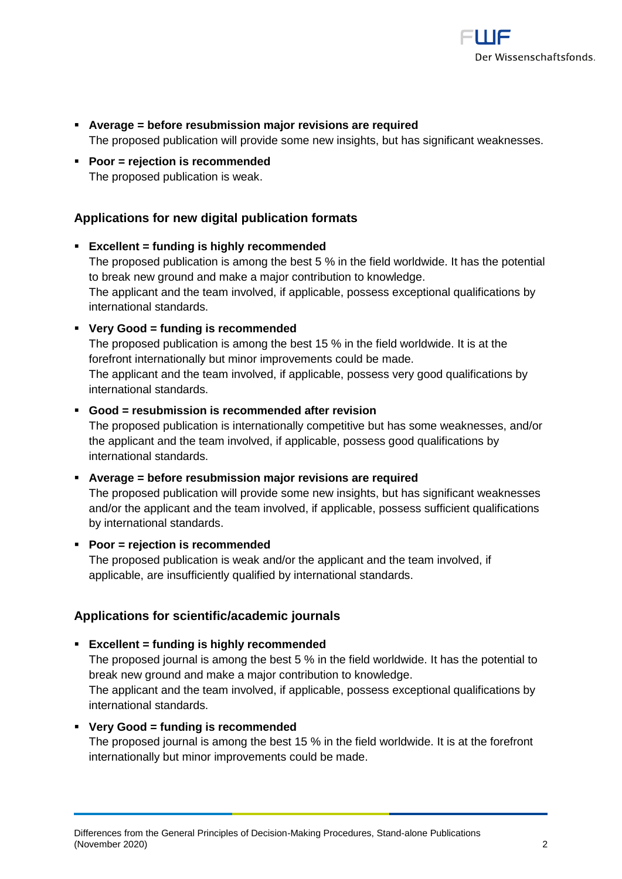

- **Average = before resubmission major revisions are required** The proposed publication will provide some new insights, but has significant weaknesses.
- **Poor = rejection is recommended** The proposed publication is weak.

### **Applications for new digital publication formats**

▪ **Excellent = funding is highly recommended** The proposed publication is among the best 5 % in the field worldwide. It has the potential to break new ground and make a major contribution to knowledge. The applicant and the team involved, if applicable, possess exceptional qualifications by international standards.

#### ▪ **Very Good = funding is recommended**

The proposed publication is among the best 15 % in the field worldwide. It is at the forefront internationally but minor improvements could be made. The applicant and the team involved, if applicable, possess very good qualifications by international standards.

#### ▪ **Good = resubmission is recommended after revision**

The proposed publication is internationally competitive but has some weaknesses, and/or the applicant and the team involved, if applicable, possess good qualifications by international standards.

- **Average = before resubmission major revisions are required** The proposed publication will provide some new insights, but has significant weaknesses and/or the applicant and the team involved, if applicable, possess sufficient qualifications by international standards.
- **Poor = rejection is recommended** The proposed publication is weak and/or the applicant and the team involved, if applicable, are insufficiently qualified by international standards.

#### **Applications for scientific/academic journals**

▪ **Excellent = funding is highly recommended** The proposed journal is among the best 5 % in the field worldwide. It has the potential to break new ground and make a major contribution to knowledge.

The applicant and the team involved, if applicable, possess exceptional qualifications by international standards.

▪ **Very Good = funding is recommended**

The proposed journal is among the best 15 % in the field worldwide. It is at the forefront internationally but minor improvements could be made.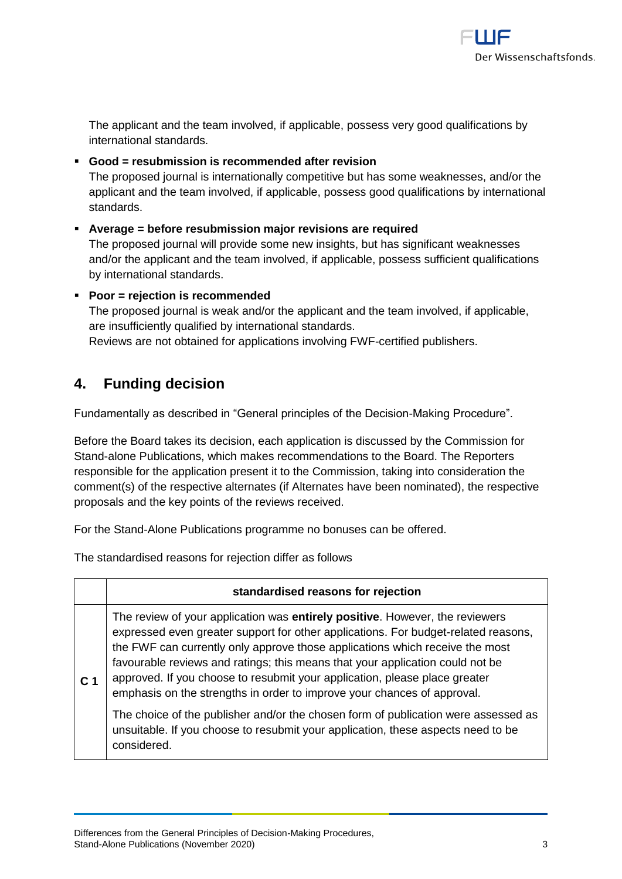

The applicant and the team involved, if applicable, possess very good qualifications by international standards.

- **Good = resubmission is recommended after revision** The proposed journal is internationally competitive but has some weaknesses, and/or the applicant and the team involved, if applicable, possess good qualifications by international standards.
- **Average = before resubmission major revisions are required** The proposed journal will provide some new insights, but has significant weaknesses and/or the applicant and the team involved, if applicable, possess sufficient qualifications by international standards.
- **Poor = rejection is recommended** The proposed journal is weak and/or the applicant and the team involved, if applicable, are insufficiently qualified by international standards. Reviews are not obtained for applications involving FWF-certified publishers.

# **4. Funding decision**

Fundamentally as described in "General principles of the Decision-Making Procedure".

Before the Board takes its decision, each application is discussed by the Commission for Stand-alone Publications, which makes recommendations to the Board. The Reporters responsible for the application present it to the Commission, taking into consideration the comment(s) of the respective alternates (if Alternates have been nominated), the respective proposals and the key points of the reviews received.

For the Stand-Alone Publications programme no bonuses can be offered.

The standardised reasons for rejection differ as follows

|                | standardised reasons for rejection                                                                                                                                                                                                                                                                                                                                                                                                                                                           |
|----------------|----------------------------------------------------------------------------------------------------------------------------------------------------------------------------------------------------------------------------------------------------------------------------------------------------------------------------------------------------------------------------------------------------------------------------------------------------------------------------------------------|
| C <sub>1</sub> | The review of your application was entirely positive. However, the reviewers<br>expressed even greater support for other applications. For budget-related reasons,<br>the FWF can currently only approve those applications which receive the most<br>favourable reviews and ratings; this means that your application could not be<br>approved. If you choose to resubmit your application, please place greater<br>emphasis on the strengths in order to improve your chances of approval. |
|                | The choice of the publisher and/or the chosen form of publication were assessed as<br>unsuitable. If you choose to resubmit your application, these aspects need to be<br>considered.                                                                                                                                                                                                                                                                                                        |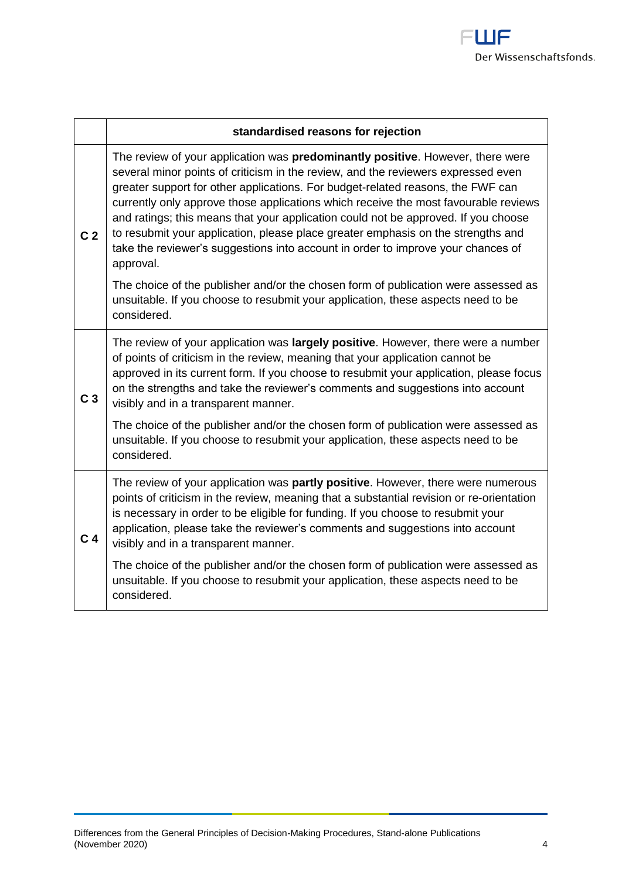

|                | standardised reasons for rejection                                                                                                                                                                                                                                                                                                                                                                                                                                                                                                                                                                                               |
|----------------|----------------------------------------------------------------------------------------------------------------------------------------------------------------------------------------------------------------------------------------------------------------------------------------------------------------------------------------------------------------------------------------------------------------------------------------------------------------------------------------------------------------------------------------------------------------------------------------------------------------------------------|
| C <sub>2</sub> | The review of your application was <b>predominantly positive</b> . However, there were<br>several minor points of criticism in the review, and the reviewers expressed even<br>greater support for other applications. For budget-related reasons, the FWF can<br>currently only approve those applications which receive the most favourable reviews<br>and ratings; this means that your application could not be approved. If you choose<br>to resubmit your application, please place greater emphasis on the strengths and<br>take the reviewer's suggestions into account in order to improve your chances of<br>approval. |
|                | The choice of the publisher and/or the chosen form of publication were assessed as<br>unsuitable. If you choose to resubmit your application, these aspects need to be<br>considered.                                                                                                                                                                                                                                                                                                                                                                                                                                            |
| C <sub>3</sub> | The review of your application was largely positive. However, there were a number<br>of points of criticism in the review, meaning that your application cannot be<br>approved in its current form. If you choose to resubmit your application, please focus<br>on the strengths and take the reviewer's comments and suggestions into account<br>visibly and in a transparent manner.                                                                                                                                                                                                                                           |
|                | The choice of the publisher and/or the chosen form of publication were assessed as<br>unsuitable. If you choose to resubmit your application, these aspects need to be<br>considered.                                                                                                                                                                                                                                                                                                                                                                                                                                            |
| C <sub>4</sub> | The review of your application was partly positive. However, there were numerous<br>points of criticism in the review, meaning that a substantial revision or re-orientation<br>is necessary in order to be eligible for funding. If you choose to resubmit your<br>application, please take the reviewer's comments and suggestions into account<br>visibly and in a transparent manner.                                                                                                                                                                                                                                        |
|                | The choice of the publisher and/or the chosen form of publication were assessed as<br>unsuitable. If you choose to resubmit your application, these aspects need to be<br>considered.                                                                                                                                                                                                                                                                                                                                                                                                                                            |